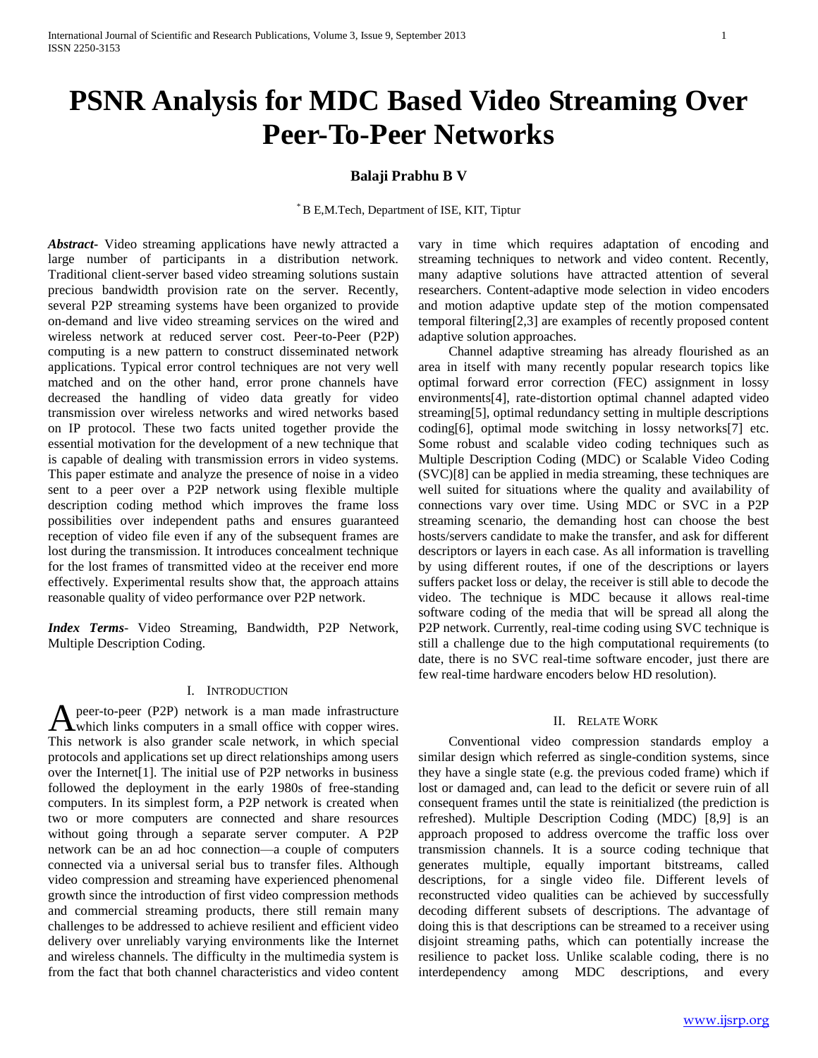# **PSNR Analysis for MDC Based Video Streaming Over Peer-To-Peer Networks**

# **Balaji Prabhu B V**

\* B E,M.Tech, Department of ISE, KIT, Tiptur

*Abstract***-** Video streaming applications have newly attracted a large number of participants in a distribution network. Traditional client-server based video streaming solutions sustain precious bandwidth provision rate on the server. Recently, several P2P streaming systems have been organized to provide on-demand and live video streaming services on the wired and wireless network at reduced server cost. Peer-to-Peer (P2P) computing is a new pattern to construct disseminated network applications. Typical error control techniques are not very well matched and on the other hand, error prone channels have decreased the handling of video data greatly for video transmission over wireless networks and wired networks based on IP protocol. These two facts united together provide the essential motivation for the development of a new technique that is capable of dealing with transmission errors in video systems. This paper estimate and analyze the presence of noise in a video sent to a peer over a P2P network using flexible multiple description coding method which improves the frame loss possibilities over independent paths and ensures guaranteed reception of video file even if any of the subsequent frames are lost during the transmission. It introduces concealment technique for the lost frames of transmitted video at the receiver end more effectively. Experimental results show that, the approach attains reasonable quality of video performance over P2P network.

*Index Terms*- Video Streaming, Bandwidth, P2P Network, Multiple Description Coding.

## I. INTRODUCTION

peer-to-peer (P2P) network is a man made infrastructure A peer-to-peer (P2P) network is a man made infrastructure<br>which links computers in a small office with copper wires. This network is also grander scale network, in which special protocols and applications set up direct relationships among users over the Internet[1]. The initial use of P2P networks in business followed the deployment in the early 1980s of free-standing computers. In its simplest form, a P2P network is created when two or more computers are connected and share resources without going through a separate server computer. A P2P network can be an ad hoc connection—a couple of computers connected via a universal serial bus to transfer files. Although video compression and streaming have experienced phenomenal growth since the introduction of first video compression methods and commercial streaming products, there still remain many challenges to be addressed to achieve resilient and efficient video delivery over unreliably varying environments like the Internet and wireless channels. The difficulty in the multimedia system is from the fact that both channel characteristics and video content

vary in time which requires adaptation of encoding and streaming techniques to network and video content. Recently, many adaptive solutions have attracted attention of several researchers. Content-adaptive mode selection in video encoders and motion adaptive update step of the motion compensated temporal filtering[2,3] are examples of recently proposed content adaptive solution approaches.

 Channel adaptive streaming has already flourished as an area in itself with many recently popular research topics like optimal forward error correction (FEC) assignment in lossy environments[4], rate-distortion optimal channel adapted video streaming[5], optimal redundancy setting in multiple descriptions coding[6], optimal mode switching in lossy networks[7] etc. Some robust and scalable video coding techniques such as Multiple Description Coding (MDC) or Scalable Video Coding (SVC)[8] can be applied in media streaming, these techniques are well suited for situations where the quality and availability of connections vary over time. Using MDC or SVC in a P2P streaming scenario, the demanding host can choose the best hosts/servers candidate to make the transfer, and ask for different descriptors or layers in each case. As all information is travelling by using different routes, if one of the descriptions or layers suffers packet loss or delay, the receiver is still able to decode the video. The technique is MDC because it allows real-time software coding of the media that will be spread all along the P2P network. Currently, real-time coding using SVC technique is still a challenge due to the high computational requirements (to date, there is no SVC real-time software encoder, just there are few real-time hardware encoders below HD resolution).

# II. RELATE WORK

 Conventional video compression standards employ a similar design which referred as single-condition systems, since they have a single state (e.g. the previous coded frame) which if lost or damaged and, can lead to the deficit or severe ruin of all consequent frames until the state is reinitialized (the prediction is refreshed). Multiple Description Coding (MDC) [8,9] is an approach proposed to address overcome the traffic loss over transmission channels. It is a source coding technique that generates multiple, equally important bitstreams, called descriptions, for a single video file. Different levels of reconstructed video qualities can be achieved by successfully decoding different subsets of descriptions. The advantage of doing this is that descriptions can be streamed to a receiver using disjoint streaming paths, which can potentially increase the resilience to packet loss. Unlike scalable coding, there is no interdependency among MDC descriptions, and every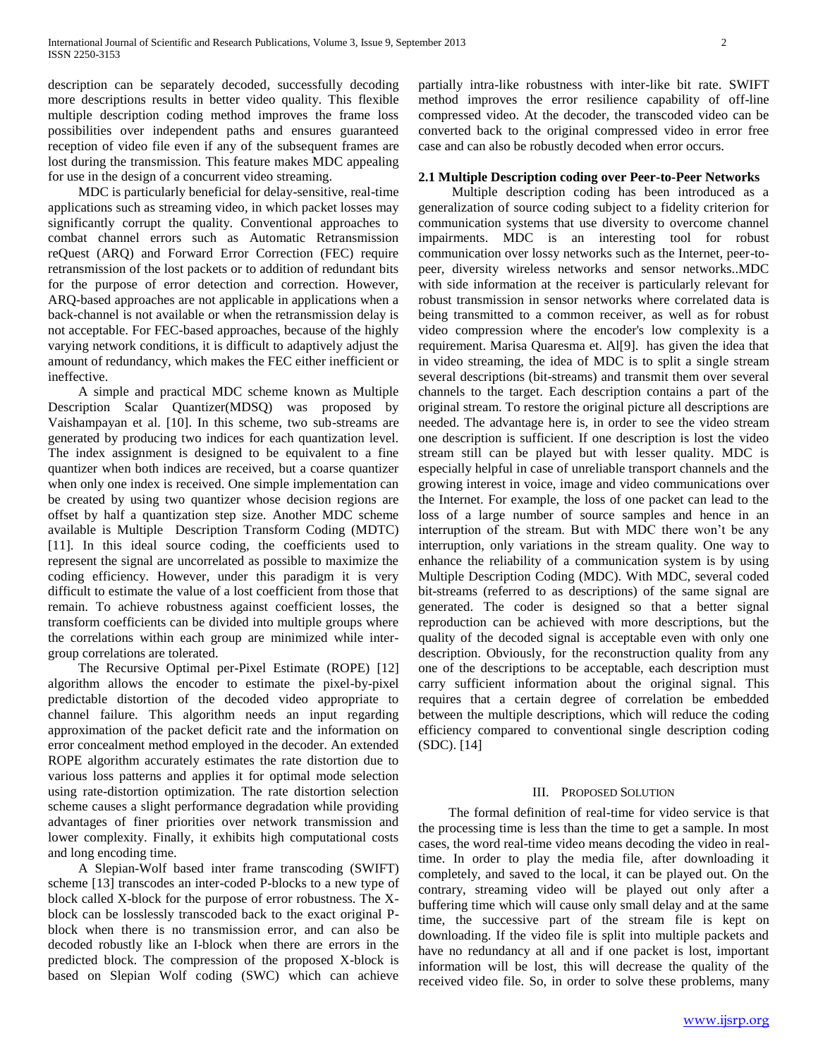description can be separately decoded, successfully decoding more descriptions results in better video quality. This flexible multiple description coding method improves the frame loss possibilities over independent paths and ensures guaranteed reception of video file even if any of the subsequent frames are lost during the transmission. This feature makes MDC appealing for use in the design of a concurrent video streaming.

 MDC is particularly beneficial for delay-sensitive, real-time applications such as streaming video, in which packet losses may significantly corrupt the quality. Conventional approaches to combat channel errors such as Automatic Retransmission reQuest (ARQ) and Forward Error Correction (FEC) require retransmission of the lost packets or to addition of redundant bits for the purpose of error detection and correction. However, ARQ-based approaches are not applicable in applications when a back-channel is not available or when the retransmission delay is not acceptable. For FEC-based approaches, because of the highly varying network conditions, it is difficult to adaptively adjust the amount of redundancy, which makes the FEC either inefficient or ineffective.

 A simple and practical MDC scheme known as Multiple Description Scalar Quantizer(MDSQ) was proposed by Vaishampayan et al. [10]. In this scheme, two sub-streams are generated by producing two indices for each quantization level. The index assignment is designed to be equivalent to a fine quantizer when both indices are received, but a coarse quantizer when only one index is received. One simple implementation can be created by using two quantizer whose decision regions are offset by half a quantization step size. Another MDC scheme available is Multiple Description Transform Coding (MDTC) [11]. In this ideal source coding, the coefficients used to represent the signal are uncorrelated as possible to maximize the coding efficiency. However, under this paradigm it is very difficult to estimate the value of a lost coefficient from those that remain. To achieve robustness against coefficient losses, the transform coefficients can be divided into multiple groups where the correlations within each group are minimized while intergroup correlations are tolerated.

 The Recursive Optimal per-Pixel Estimate (ROPE) [12] algorithm allows the encoder to estimate the pixel-by-pixel predictable distortion of the decoded video appropriate to channel failure. This algorithm needs an input regarding approximation of the packet deficit rate and the information on error concealment method employed in the decoder. An extended ROPE algorithm accurately estimates the rate distortion due to various loss patterns and applies it for optimal mode selection using rate-distortion optimization. The rate distortion selection scheme causes a slight performance degradation while providing advantages of finer priorities over network transmission and lower complexity. Finally, it exhibits high computational costs and long encoding time.

 A Slepian-Wolf based inter frame transcoding (SWIFT) scheme [13] transcodes an inter-coded P-blocks to a new type of block called X-block for the purpose of error robustness. The Xblock can be losslessly transcoded back to the exact original Pblock when there is no transmission error, and can also be decoded robustly like an I-block when there are errors in the predicted block. The compression of the proposed X-block is based on Slepian Wolf coding (SWC) which can achieve

partially intra-like robustness with inter-like bit rate. SWIFT method improves the error resilience capability of off-line compressed video. At the decoder, the transcoded video can be converted back to the original compressed video in error free case and can also be robustly decoded when error occurs.

# **2.1 Multiple Description coding over Peer-to-Peer Networks**

 Multiple description coding has been introduced as a generalization of source coding subject to a fidelity criterion for communication systems that use diversity to overcome channel impairments. MDC is an interesting tool for robust communication over lossy networks such as the Internet, peer-topeer, diversity wireless networks and sensor networks..MDC with side information at the receiver is particularly relevant for robust transmission in sensor networks where correlated data is being transmitted to a common receiver, as well as for robust video compression where the encoder's low complexity is a requirement. Marisa Quaresma et. Al[9]. has given the idea that in video streaming, the idea of MDC is to split a single stream several descriptions (bit-streams) and transmit them over several channels to the target. Each description contains a part of the original stream. To restore the original picture all descriptions are needed. The advantage here is, in order to see the video stream one description is sufficient. If one description is lost the video stream still can be played but with lesser quality. MDC is especially helpful in case of unreliable transport channels and the growing interest in voice, image and video communications over the Internet. For example, the loss of one packet can lead to the loss of a large number of source samples and hence in an interruption of the stream. But with MDC there won't be any interruption, only variations in the stream quality. One way to enhance the reliability of a communication system is by using Multiple Description Coding (MDC). With MDC, several coded bit-streams (referred to as descriptions) of the same signal are generated. The coder is designed so that a better signal reproduction can be achieved with more descriptions, but the quality of the decoded signal is acceptable even with only one description. Obviously, for the reconstruction quality from any one of the descriptions to be acceptable, each description must carry sufficient information about the original signal. This requires that a certain degree of correlation be embedded between the multiple descriptions, which will reduce the coding efficiency compared to conventional single description coding (SDC). [14]

### III. PROPOSED SOLUTION

 The formal definition of real-time for video service is that the processing time is less than the time to get a sample. In most cases, the word real-time video means decoding the video in realtime. In order to play the media file, after downloading it completely, and saved to the local, it can be played out. On the contrary, streaming video will be played out only after a buffering time which will cause only small delay and at the same time, the successive part of the stream file is kept on downloading. If the video file is split into multiple packets and have no redundancy at all and if one packet is lost, important information will be lost, this will decrease the quality of the received video file. So, in order to solve these problems, many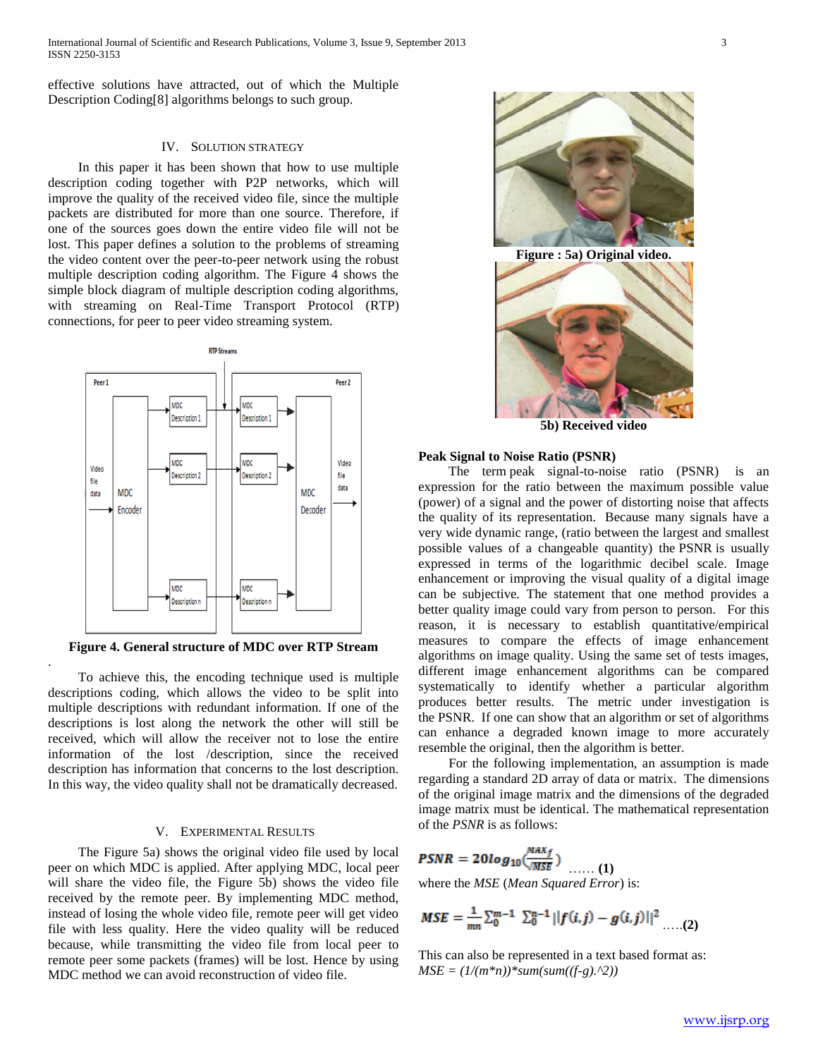effective solutions have attracted, out of which the Multiple Description Coding[8] algorithms belongs to such group.

# IV. SOLUTION STRATEGY

 In this paper it has been shown that how to use multiple description coding together with P2P networks, which will improve the quality of the received video file, since the multiple packets are distributed for more than one source. Therefore, if one of the sources goes down the entire video file will not be lost. This paper defines a solution to the problems of streaming the video content over the peer-to-peer network using the robust multiple description coding algorithm. The Figure 4 shows the simple block diagram of multiple description coding algorithms, with streaming on Real-Time Transport Protocol (RTP) connections, for peer to peer video streaming system.



**Figure 4. General structure of MDC over RTP Stream**

.

 To achieve this, the encoding technique used is multiple descriptions coding, which allows the video to be split into multiple descriptions with redundant information. If one of the descriptions is lost along the network the other will still be received, which will allow the receiver not to lose the entire information of the lost /description, since the received description has information that concerns to the lost description. In this way, the video quality shall not be dramatically decreased.

# V. EXPERIMENTAL RESULTS

 The Figure 5a) shows the original video file used by local peer on which MDC is applied. After applying MDC, local peer will share the video file, the Figure 5b) shows the video file received by the remote peer. By implementing MDC method, instead of losing the whole video file, remote peer will get video file with less quality. Here the video quality will be reduced because, while transmitting the video file from local peer to remote peer some packets (frames) will be lost. Hence by using MDC method we can avoid reconstruction of video file.



**Figure : 5a) Original video.**



**5b) Received video**

## **Peak Signal to Noise Ratio (PSNR)**

 The term peak signal-to-noise ratio (PSNR) is an expression for the ratio between the maximum possible value (power) of a signal and the power of distorting noise that affects the quality of its representation. Because many signals have a very wide dynamic range, (ratio between the largest and smallest possible values of a changeable quantity) the PSNR is usually expressed in terms of the logarithmic decibel scale. Image enhancement or improving the visual quality of a digital image can be subjective. The statement that one method provides a better quality image could vary from person to person. For this reason, it is necessary to establish quantitative/empirical measures to compare the effects of image enhancement algorithms on image quality. Using the same set of tests images, different image enhancement algorithms can be compared systematically to identify whether a particular algorithm produces better results. The metric under investigation is the PSNR. If one can show that an algorithm or set of algorithms can enhance a degraded known image to more accurately resemble the original, then the algorithm is better.

 For the following implementation, an assumption is made regarding a standard 2D array of data or matrix. The dimensions of the original image matrix and the dimensions of the degraded image matrix must be identical. The mathematical representation of the *PSNR* is as follows:

**PSNR** = 
$$
20log_{10}(\frac{max_f}{MSE})
$$
 ...... (1)  
where the *MSE* (*Mean Squared Error*) is:

$$
MSE = \frac{1}{mn} \sum_{0}^{m-1} \sum_{0}^{n-1} ||f(i,j) - g(i,j)||^2 \dots (2)
$$

This can also be represented in a text based format as:  $MSE = (1/(m*n))*sum(sum((f-g).^2))$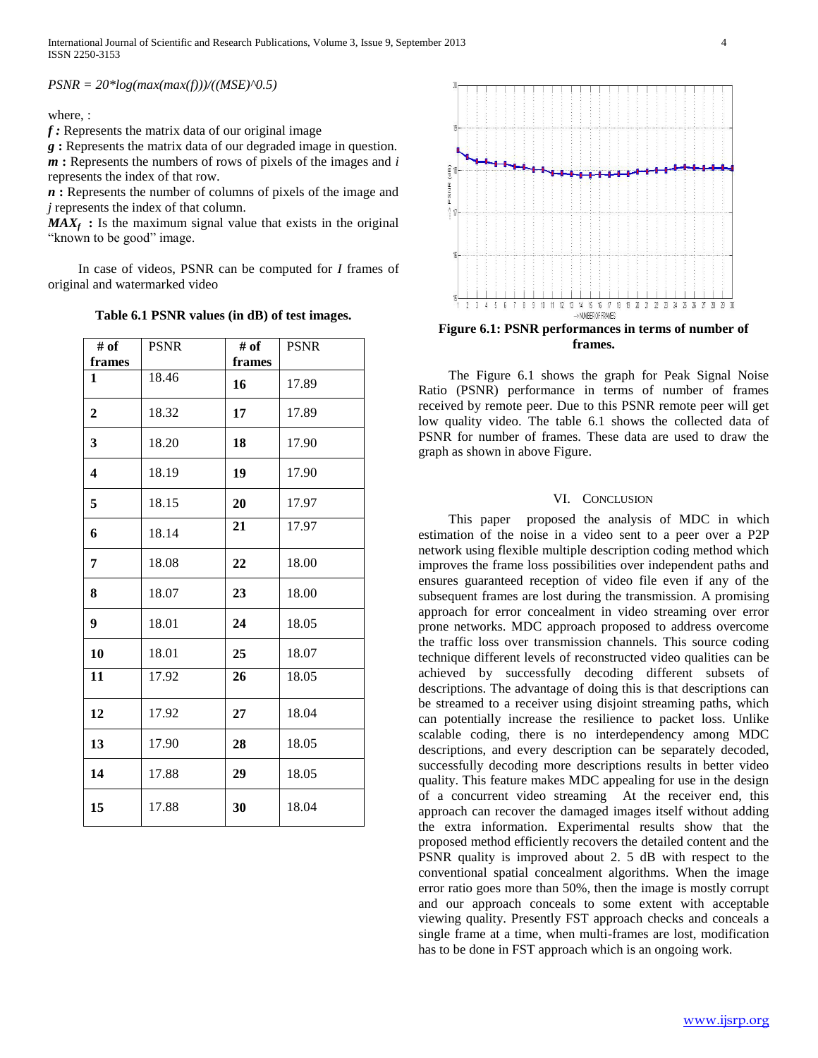*PSNR = 20\*log(max(max(f)))/((MSE)^0.5)*

where, :

*f :* Represents the matrix data of our original image

*g* **:** Represents the matrix data of our degraded image in question. *m* **:** Represents the numbers of rows of pixels of the images and *i* represents the index of that row.

*n* **:** Represents the number of columns of pixels of the image and *j* represents the index of that column.

 $MAX_f$ : Is the maximum signal value that exists in the original "known to be good" image.

 In case of videos, PSNR can be computed for *I* frames of original and watermarked video

**Table 6.1 PSNR values (in dB) of test images.**

| # of                    | <b>PSNR</b> | # of   | <b>PSNR</b> |
|-------------------------|-------------|--------|-------------|
| frames                  |             | frames |             |
| 1                       | 18.46       | 16     | 17.89       |
| $\mathbf{2}$            | 18.32       | 17     | 17.89       |
| 3                       | 18.20       | 18     | 17.90       |
| $\overline{\mathbf{4}}$ | 18.19       | 19     | 17.90       |
| 5                       | 18.15       | 20     | 17.97       |
| 6                       | 18.14       | 21     | 17.97       |
| 7                       | 18.08       | 22     | 18.00       |
| 8                       | 18.07       | 23     | 18.00       |
| 9                       | 18.01       | 24     | 18.05       |
| 10                      | 18.01       | 25     | 18.07       |
| 11                      | 17.92       | 26     | 18.05       |
| 12                      | 17.92       | 27     | 18.04       |
| 13                      | 17.90       | 28     | 18.05       |
| 14                      | 17.88       | 29     | 18.05       |
| 15                      | 17.88       | 30     | 18.04       |



 The Figure 6.1 shows the graph for Peak Signal Noise Ratio (PSNR) performance in terms of number of frames received by remote peer. Due to this PSNR remote peer will get low quality video. The table 6.1 shows the collected data of PSNR for number of frames. These data are used to draw the graph as shown in above Figure.

# VI. CONCLUSION

 This paper proposed the analysis of MDC in which estimation of the noise in a video sent to a peer over a P2P network using flexible multiple description coding method which improves the frame loss possibilities over independent paths and ensures guaranteed reception of video file even if any of the subsequent frames are lost during the transmission. A promising approach for error concealment in video streaming over error prone networks. MDC approach proposed to address overcome the traffic loss over transmission channels. This source coding technique different levels of reconstructed video qualities can be achieved by successfully decoding different subsets of descriptions. The advantage of doing this is that descriptions can be streamed to a receiver using disjoint streaming paths, which can potentially increase the resilience to packet loss. Unlike scalable coding, there is no interdependency among MDC descriptions, and every description can be separately decoded, successfully decoding more descriptions results in better video quality. This feature makes MDC appealing for use in the design of a concurrent video streaming At the receiver end, this approach can recover the damaged images itself without adding the extra information. Experimental results show that the proposed method efficiently recovers the detailed content and the PSNR quality is improved about 2. 5 dB with respect to the conventional spatial concealment algorithms. When the image error ratio goes more than 50%, then the image is mostly corrupt and our approach conceals to some extent with acceptable viewing quality. Presently FST approach checks and conceals a single frame at a time, when multi-frames are lost, modification has to be done in FST approach which is an ongoing work.